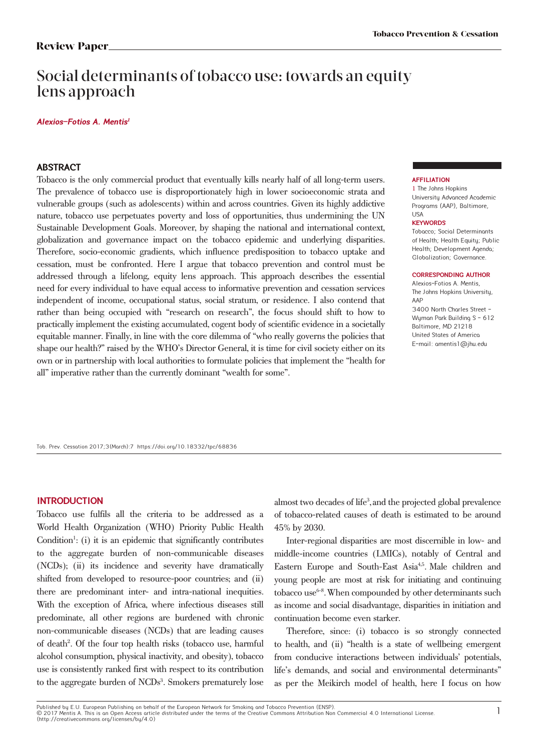# Social determinants of tobacco use: towards an equity lens approach

### **Alexios-Fotios A. Mentis** *1*

### **ABSTRACT**

Tobacco is the only commercial product that eventually kills nearly half of all long-term users. The prevalence of tobacco use is disproportionately high in lower socioeconomic strata and vulnerable groups (such as adolescents) within and across countries. Given its highly addictive nature, tobacco use perpetuates poverty and loss of opportunities, thus undermining the UN Sustainable Development Goals. Moreover, by shaping the national and international context, globalization and governance impact on the tobacco epidemic and underlying disparities. Therefore, socio-economic gradients, which influence predisposition to tobacco uptake and cessation, must be confronted. Here I argue that tobacco prevention and control must be addressed through a lifelong, equity lens approach. This approach describes the essential need for every individual to have equal access to informative prevention and cessation services independent of income, occupational status, social stratum, or residence. I also contend that rather than being occupied with "research on research", the focus should shift to how to practically implement the existing accumulated, cogent body of scientific evidence in a societally equitable manner. Finally, in line with the core dilemma of "who really governs the policies that shape our health?" raised by the WHO's Director General, it is time for civil society either on its own or in partnership with local authorities to formulate policies that implement the "health for all" imperative rather than the currently dominant "wealth for some".

### **AFFILIATION**

1 The Johns Hopkins University Advanced Academic Programs (AAP), Baltimore, USA

### **KEYWORDS**

Tobacco; Social Determinants of Health; Health Equity; Public Health; Development Agenda; Globalization; Governance.

#### **CORRESPONDING AUTHOR**

Alexios-Fotios A. Mentis, The Johns Hopkins University, AAP 3400 North Charles Street - Wuman Park Building S - 612 Baltimore, MD 21218 United States of America E-mail: amentis1@jhu.edu

Tob. Prev. Cessation 2017;3(March):7 https://doi.org/10.18332/tpc/68836

### **INTRODUCTION**

Tobacco use fulfils all the criteria to be addressed as a World Health Organization (WHO) Priority Public Health Condition<sup>1</sup>: (i) it is an epidemic that significantly contributes to the aggregate burden of non-communicable diseases (NCDs); (ii) its incidence and severity have dramatically shifted from developed to resource-poor countries; and (ii) there are predominant inter- and intra-national inequities. With the exception of Africa, where infectious diseases still predominate, all other regions are burdened with chronic non-communicable diseases (NCDs) that are leading causes of death<sup>2</sup>. Of the four top health risks (tobacco use, harmful alcohol consumption, physical inactivity, and obesity), tobacco use is consistently ranked first with respect to its contribution to the aggregate burden of NCDs<sup>3</sup>. Smokers prematurely lose almost two decades of life<sup>3</sup>, and the projected global prevalence of tobacco-related causes of death is estimated to be around 45% by 2030.

Inter-regional disparities are most discernible in low- and middle-income countries (LMICs), notably of Central and Eastern Europe and South-East Asia<sup>4,5</sup>. Male children and young people are most at risk for initiating and continuing tobacco use6-8.When compounded by other determinants such as income and social disadvantage, disparities in initiation and continuation become even starker.

Therefore, since: (i) tobacco is so strongly connected to health, and (ii) "health is a state of wellbeing emergent from conducive interactions between individuals' potentials, life's demands, and social and environmental determinants" as per the Meikirch model of health, here I focus on how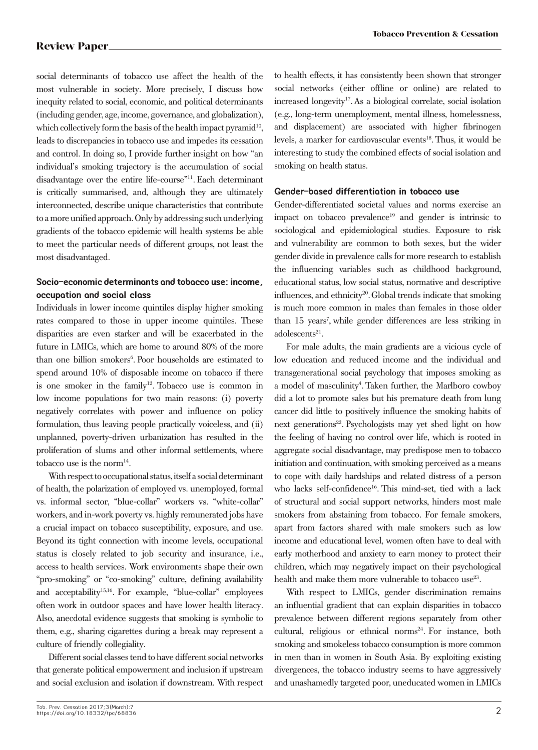social determinants of tobacco use affect the health of the most vulnerable in society. More precisely, I discuss how inequity related to social, economic, and political determinants (including gender, age, income, governance, and globalization), which collectively form the basis of the health impact pyramid<sup>10</sup>, leads to discrepancies in tobacco use and impedes its cessation and control. In doing so, I provide further insight on how "an individual's smoking trajectory is the accumulation of social disadvantage over the entire life-course"11. Each determinant is critically summarised, and, although they are ultimately interconnected, describe unique characteristics that contribute to a more unified approach. Only by addressing such underlying gradients of the tobacco epidemic will health systems be able to meet the particular needs of different groups, not least the most disadvantaged.

# **Socio-economic determinants and tobacco use: income, occupation and social class**

Individuals in lower income quintiles display higher smoking rates compared to those in upper income quintiles. These disparities are even starker and will be exacerbated in the future in LMICs, which are home to around 80% of the more than one billion smokers<sup>6</sup>. Poor households are estimated to spend around 10% of disposable income on tobacco if there is one smoker in the family<sup>12</sup>. Tobacco use is common in low income populations for two main reasons: (i) poverty negatively correlates with power and influence on policy formulation, thus leaving people practically voiceless, and (ii) unplanned, poverty-driven urbanization has resulted in the proliferation of slums and other informal settlements, where tobacco use is the norm<sup>14</sup>.

With respect to occupational status, itself a social determinant of health, the polarization of employed vs. unemployed, formal vs. informal sector, "blue-collar" workers vs. "white-collar" workers, and in-work poverty vs. highly remunerated jobs have a crucial impact on tobacco susceptibility, exposure, and use. Beyond its tight connection with income levels, occupational status is closely related to job security and insurance, i.e., access to health services. Work environments shape their own "pro-smoking" or "co-smoking" culture, defining availability and acceptability<sup>15,16</sup>. For example, "blue-collar" employees often work in outdoor spaces and have lower health literacy. Also, anecdotal evidence suggests that smoking is symbolic to them, e.g., sharing cigarettes during a break may represent a culture of friendly collegiality.

Different social classes tend to have different social networks that generate political empowerment and inclusion if upstream and social exclusion and isolation if downstream. With respect to health effects, it has consistently been shown that stronger social networks (either offline or online) are related to increased longevity17.As a biological correlate, social isolation (e.g., long-term unemployment, mental illness, homelessness, and displacement) are associated with higher fibrinogen levels, a marker for cardiovascular events<sup>18</sup>. Thus, it would be interesting to study the combined effects of social isolation and smoking on health status.

## **Gender-based differentiation in tobacco use**

Gender-differentiated societal values and norms exercise an impact on tobacco prevalence<sup>19</sup> and gender is intrinsic to sociological and epidemiological studies. Exposure to risk and vulnerability are common to both sexes, but the wider gender divide in prevalence calls for more research to establish the influencing variables such as childhood background, educational status, low social status, normative and descriptive influences, and ethnicity<sup>20</sup>. Global trends indicate that smoking is much more common in males than females in those older than 15 years<sup>7</sup>, while gender differences are less striking in  $adolescents<sup>21</sup>$ .

For male adults, the main gradients are a vicious cycle of low education and reduced income and the individual and transgenerational social psychology that imposes smoking as a model of masculinity<sup>4</sup>. Taken further, the Marlboro cowboy did a lot to promote sales but his premature death from lung cancer did little to positively influence the smoking habits of next generations<sup>22</sup>. Psychologists may yet shed light on how the feeling of having no control over life, which is rooted in aggregate social disadvantage, may predispose men to tobacco initiation and continuation, with smoking perceived as a means to cope with daily hardships and related distress of a person who lacks self-confidence<sup>16</sup>. This mind-set, tied with a lack of structural and social support networks, hinders most male smokers from abstaining from tobacco. For female smokers, apart from factors shared with male smokers such as low income and educational level, women often have to deal with early motherhood and anxiety to earn money to protect their children, which may negatively impact on their psychological health and make them more vulnerable to tobacco use<sup>23</sup>.

With respect to LMICs, gender discrimination remains an influential gradient that can explain disparities in tobacco prevalence between different regions separately from other cultural, religious or ethnical norms<sup>24</sup>. For instance, both smoking and smokeless tobacco consumption is more common in men than in women in South Asia. By exploiting existing divergences, the tobacco industry seems to have aggressively and unashamedly targeted poor, uneducated women in LMICs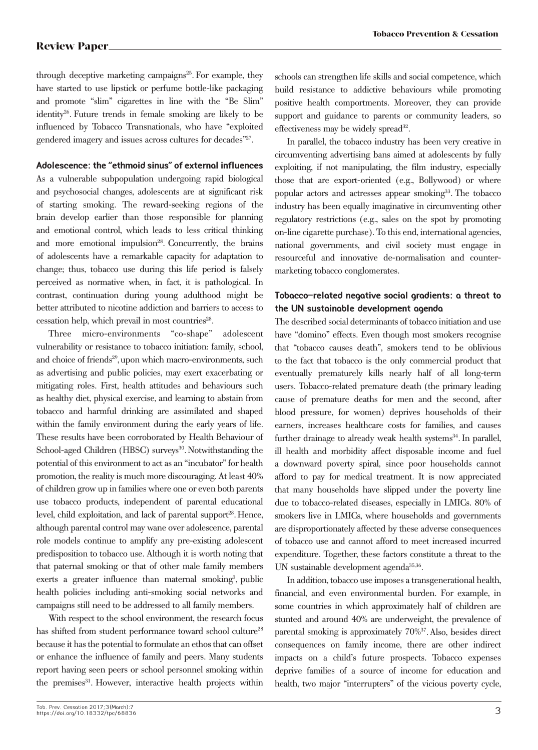through deceptive marketing campaigns<sup>25</sup>. For example, they have started to use lipstick or perfume bottle-like packaging and promote "slim" cigarettes in line with the "Be Slim" identity<sup>26</sup>. Future trends in female smoking are likely to be influenced by Tobacco Transnationals, who have "exploited gendered imagery and issues across cultures for decades"27.

## **Adolescence: the "ethmoid sinus" of external influences**

As a vulnerable subpopulation undergoing rapid biological and psychosocial changes, adolescents are at significant risk of starting smoking. The reward-seeking regions of the brain develop earlier than those responsible for planning and emotional control, which leads to less critical thinking and more emotional impulsion<sup>28</sup>. Concurrently, the brains of adolescents have a remarkable capacity for adaptation to change; thus, tobacco use during this life period is falsely perceived as normative when, in fact, it is pathological. In contrast, continuation during young adulthood might be better attributed to nicotine addiction and barriers to access to cessation help, which prevail in most countries<sup>28</sup>.

Three micro-environments "co-shape" adolescent vulnerability or resistance to tobacco initiation: family, school, and choice of friends<sup>29</sup>, upon which macro-environments, such as advertising and public policies, may exert exacerbating or mitigating roles. First, health attitudes and behaviours such as healthy diet, physical exercise, and learning to abstain from tobacco and harmful drinking are assimilated and shaped within the family environment during the early years of life. These results have been corroborated by Health Behaviour of School-aged Children (HBSC) surveys<sup>30</sup>. Notwithstanding the potential of this environment to act as an "incubator" for health promotion, the reality is much more discouraging. At least 40% of children grow up in families where one or even both parents use tobacco products, independent of parental educational level, child exploitation, and lack of parental support<sup>28</sup>. Hence, although parental control may wane over adolescence, parental role models continue to amplify any pre-existing adolescent predisposition to tobacco use. Although it is worth noting that that paternal smoking or that of other male family members exerts a greater influence than maternal smoking<sup>3</sup>, public health policies including anti-smoking social networks and campaigns still need to be addressed to all family members.

With respect to the school environment, the research focus has shifted from student performance toward school culture<sup>28</sup> because it has the potential to formulate an ethos that can offset or enhance the influence of family and peers. Many students report having seen peers or school personnel smoking within the premises<sup>31</sup>. However, interactive health projects within schools can strengthen life skills and social competence, which build resistance to addictive behaviours while promoting positive health comportments. Moreover, they can provide support and guidance to parents or community leaders, so effectiveness may be widely spread $32$ .

In parallel, the tobacco industry has been very creative in circumventing advertising bans aimed at adolescents by fully exploiting, if not manipulating, the film industry, especially those that are export-oriented (e.g., Bollywood) or where popular actors and actresses appear smoking<sup>33</sup>. The tobacco industry has been equally imaginative in circumventing other regulatory restrictions (e.g., sales on the spot by promoting on-line cigarette purchase). To this end, international agencies, national governments, and civil society must engage in resourceful and innovative de-normalisation and countermarketing tobacco conglomerates.

## **Tobacco-related negative social gradients: a threat to the UN sustainable development agenda**

The described social determinants of tobacco initiation and use have "domino" effects. Even though most smokers recognise that "tobacco causes death", smokers tend to be oblivious to the fact that tobacco is the only commercial product that eventually prematurely kills nearly half of all long-term users. Tobacco-related premature death (the primary leading cause of premature deaths for men and the second, after blood pressure, for women) deprives households of their earners, increases healthcare costs for families, and causes further drainage to already weak health systems $34$ . In parallel, ill health and morbidity affect disposable income and fuel a downward poverty spiral, since poor households cannot afford to pay for medical treatment. It is now appreciated that many households have slipped under the poverty line due to tobacco-related diseases, especially in LMICs. 80% of smokers live in LMICs, where households and governments are disproportionately affected by these adverse consequences of tobacco use and cannot afford to meet increased incurred expenditure. Together, these factors constitute a threat to the UN sustainable development agenda35,36.

In addition, tobacco use imposes a transgenerational health, financial, and even environmental burden. For example, in some countries in which approximately half of children are stunted and around 40% are underweight, the prevalence of parental smoking is approximately 70%37.Also, besides direct consequences on family income, there are other indirect impacts on a child's future prospects. Tobacco expenses deprive families of a source of income for education and health, two major "interrupters" of the vicious poverty cycle,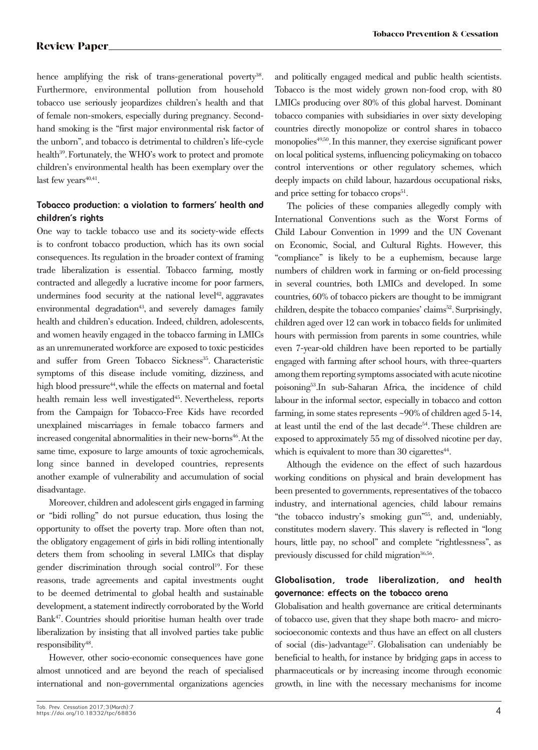hence amplifying the risk of trans-generational poverty<sup>38</sup>. Furthermore, environmental pollution from household tobacco use seriously jeopardizes children's health and that of female non-smokers, especially during pregnancy. Secondhand smoking is the "first major environmental risk factor of the unborn", and tobacco is detrimental to children's life-cycle health<sup>39</sup>. Fortunately, the WHO's work to protect and promote children's environmental health has been exemplary over the last few years $40,41$ .

# **Tobacco production: a violation to farmers' health and children's rights**

One way to tackle tobacco use and its society-wide effects is to confront tobacco production, which has its own social consequences. Its regulation in the broader context of framing trade liberalization is essential. Tobacco farming, mostly contracted and allegedly a lucrative income for poor farmers, undermines food security at the national level<sup> $42$ </sup>, aggravates environmental degradation<sup>43</sup>, and severely damages family health and children's education. Indeed, children, adolescents, and women heavily engaged in the tobacco farming in LMICs as an unremunerated workforce are exposed to toxic pesticides and suffer from Green Tobacco Sickness<sup>35</sup>. Characteristic symptoms of this disease include vomiting, dizziness, and high blood pressure<sup>44</sup>, while the effects on maternal and foetal health remain less well investigated<sup>45</sup>. Nevertheless, reports from the Campaign for Tobacco-Free Kids have recorded unexplained miscarriages in female tobacco farmers and increased congenital abnormalities in their new-borns<sup>46</sup>. At the same time, exposure to large amounts of toxic agrochemicals, long since banned in developed countries, represents another example of vulnerability and accumulation of social disadvantage.

Moreover, children and adolescent girls engaged in farming or "bidi rolling" do not pursue education, thus losing the opportunity to offset the poverty trap. More often than not, the obligatory engagement of girls in bidi rolling intentionally deters them from schooling in several LMICs that display gender discrimination through social control<sup>19</sup>. For these reasons, trade agreements and capital investments ought to be deemed detrimental to global health and sustainable development, a statement indirectly corroborated by the World Bank47. Countries should prioritise human health over trade liberalization by insisting that all involved parties take public responsibility<sup>48</sup>.

However, other socio-economic consequences have gone almost unnoticed and are beyond the reach of specialised international and non-governmental organizations agencies

# **Globalisation, trade liberalization, and health governance: effects on the tobacco arena**

Globalisation and health governance are critical determinants of tobacco use, given that they shape both macro- and microsocioeconomic contexts and thus have an effect on all clusters of social (dis-)advantage<sup>57</sup>. Globalisation can undeniably be beneficial to health, for instance by bridging gaps in access to pharmaceuticals or by increasing income through economic growth, in line with the necessary mechanisms for income

and politically engaged medical and public health scientists. Tobacco is the most widely grown non-food crop, with 80 LMICs producing over 80% of this global harvest. Dominant tobacco companies with subsidiaries in over sixty developing countries directly monopolize or control shares in tobacco monopolies<sup>49,50</sup>. In this manner, they exercise significant power on local political systems, influencing policymaking on tobacco control interventions or other regulatory schemes, which deeply impacts on child labour, hazardous occupational risks, and price setting for tobacco  $\text{crops}^{\text{51}}$ .

The policies of these companies allegedly comply with International Conventions such as the Worst Forms of Child Labour Convention in 1999 and the UN Covenant on Economic, Social, and Cultural Rights. However, this "compliance" is likely to be a euphemism, because large numbers of children work in farming or on-field processing in several countries, both LMICs and developed. In some countries, 60% of tobacco pickers are thought to be immigrant children, despite the tobacco companies' claims<sup>52</sup>. Surprisingly, children aged over 12 can work in tobacco fields for unlimited hours with permission from parents in some countries, while even 7-year-old children have been reported to be partially engaged with farming after school hours, with three-quarters among them reporting symptoms associated with acute nicotine poisoning53.In sub-Saharan Africa, the incidence of child labour in the informal sector, especially in tobacco and cotton farming, in some states represents ~90% of children aged 5-14, at least until the end of the last decade<sup>54</sup>. These children are exposed to approximately 55 mg of dissolved nicotine per day, which is equivalent to more than 30 cigarettes $44$ .

Although the evidence on the effect of such hazardous working conditions on physical and brain development has been presented to governments, representatives of the tobacco industry, and international agencies, child labour remains "the tobacco industry's smoking gun"55, and, undeniably, constitutes modern slavery. This slavery is reflected in "long hours, little pay, no school" and complete "rightlessness", as previously discussed for child migration<sup>36,56</sup>.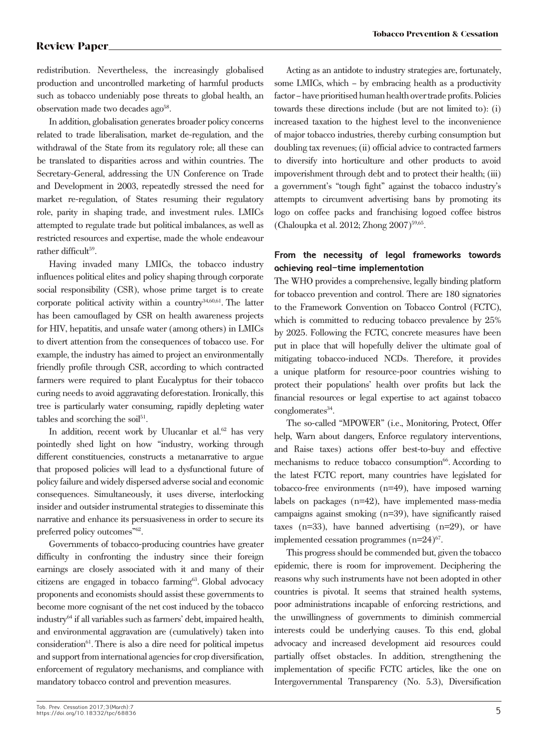redistribution. Nevertheless, the increasingly globalised production and uncontrolled marketing of harmful products such as tobacco undeniably pose threats to global health, an observation made two decades ago<sup>58</sup>.

In addition, globalisation generates broader policy concerns related to trade liberalisation, market de-regulation, and the withdrawal of the State from its regulatory role; all these can be translated to disparities across and within countries. The Secretary-General, addressing the UN Conference on Trade and Development in 2003, repeatedly stressed the need for market re-regulation, of States resuming their regulatory role, parity in shaping trade, and investment rules. LMICs attempted to regulate trade but political imbalances, as well as restricted resources and expertise, made the whole endeavour rather difficult<sup>59</sup>.

Having invaded many LMICs, the tobacco industry influences political elites and policy shaping through corporate social responsibility (CSR), whose prime target is to create corporate political activity within a country $34,60,61$ . The latter has been camouflaged by CSR on health awareness projects for HIV, hepatitis, and unsafe water (among others) in LMICs to divert attention from the consequences of tobacco use. For example, the industry has aimed to project an environmentally friendly profile through CSR, according to which contracted farmers were required to plant Eucalyptus for their tobacco curing needs to avoid aggravating deforestation. Ironically, this tree is particularly water consuming, rapidly depleting water tables and scorching the soil $51$ .

In addition, recent work by Ulucanlar et al.<sup>62</sup> has very pointedly shed light on how "industry, working through different constituencies, constructs a metanarrative to argue that proposed policies will lead to a dysfunctional future of policy failure and widely dispersed adverse social and economic consequences. Simultaneously, it uses diverse, interlocking insider and outsider instrumental strategies to disseminate this narrative and enhance its persuasiveness in order to secure its preferred policy outcomes"62.

Governments of tobacco-producing countries have greater difficulty in confronting the industry since their foreign earnings are closely associated with it and many of their citizens are engaged in tobacco farming<sup>63</sup>. Global advocacy proponents and economists should assist these governments to become more cognisant of the net cost induced by the tobacco industry64 if all variables such as farmers' debt, impaired health, and environmental aggravation are (cumulatively) taken into consideration<sup>61</sup>. There is also a dire need for political impetus and support from international agencies for crop diversification, enforcement of regulatory mechanisms, and compliance with mandatory tobacco control and prevention measures.

Acting as an antidote to industry strategies are, fortunately, some LMICs, which – by embracing health as a productivity factor – have prioritised human health over trade profits. Policies towards these directions include (but are not limited to): (i) increased taxation to the highest level to the inconvenience of major tobacco industries, thereby curbing consumption but doubling tax revenues; (ii) official advice to contracted farmers to diversify into horticulture and other products to avoid impoverishment through debt and to protect their health; (iii) a government's "tough fight" against the tobacco industry's attempts to circumvent advertising bans by promoting its logo on coffee packs and franchising logoed coffee bistros (Chaloupka et al. 2012; Zhong 2007)59,65.

# **From the necessity of legal frameworks towards achieving real-time implementation**

The WHO provides a comprehensive, legally binding platform for tobacco prevention and control. There are 180 signatories to the Framework Convention on Tobacco Control (FCTC), which is committed to reducing tobacco prevalence by 25% by 2025. Following the FCTC, concrete measures have been put in place that will hopefully deliver the ultimate goal of mitigating tobacco-induced NCDs. Therefore, it provides a unique platform for resource-poor countries wishing to protect their populations' health over profits but lack the financial resources or legal expertise to act against tobacco conglomerates<sup>34</sup>.

The so-called "MPOWER" (i.e., Monitoring, Protect, Offer help, Warn about dangers, Enforce regulatory interventions, and Raise taxes) actions offer best-to-buy and effective mechanisms to reduce tobacco consumption $66$ . According to the latest FCTC report, many countries have legislated for tobacco-free environments (n=49), have imposed warning labels on packages (n=42), have implemented mass-media campaigns against smoking (n=39), have significantly raised taxes (n=33), have banned advertising (n=29), or have implemented cessation programmes  $(n=24)^{67}$ .

This progress should be commended but, given the tobacco epidemic, there is room for improvement. Deciphering the reasons why such instruments have not been adopted in other countries is pivotal. It seems that strained health systems, poor administrations incapable of enforcing restrictions, and the unwillingness of governments to diminish commercial interests could be underlying causes. To this end, global advocacy and increased development aid resources could partially offset obstacles. In addition, strengthening the implementation of specific FCTC articles, like the one on Intergovernmental Transparency (No. 5.3), Diversification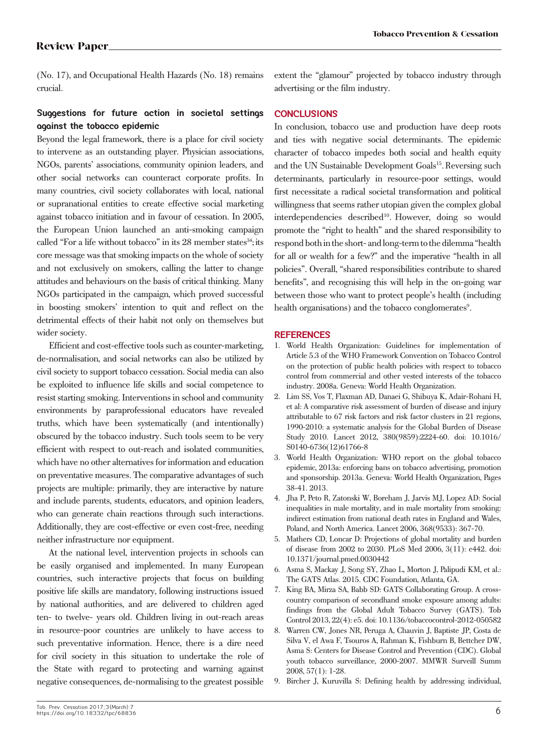(No. 17), and Occupational Health Hazards (No. 18) remains crucial.

# **Suggestions for future action in societal settings against the tobacco epidemic**

Beyond the legal framework, there is a place for civil society to intervene as an outstanding player. Physician associations, NGOs, parents' associations, community opinion leaders, and other social networks can counteract corporate profits. In many countries, civil society collaborates with local, national or supranational entities to create effective social marketing against tobacco initiation and in favour of cessation. In 2005, the European Union launched an anti-smoking campaign called "For a life without tobacco" in its 28 member states<sup>34</sup>; its core message was that smoking impacts on the whole of society and not exclusively on smokers, calling the latter to change attitudes and behaviours on the basis of critical thinking. Many NGOs participated in the campaign, which proved successful in boosting smokers' intention to quit and reflect on the detrimental effects of their habit not only on themselves but wider society.

Efficient and cost-effective tools such as counter-marketing, de-normalisation, and social networks can also be utilized by civil society to support tobacco cessation. Social media can also be exploited to influence life skills and social competence to resist starting smoking. Interventions in school and community environments by paraprofessional educators have revealed truths, which have been systematically (and intentionally) obscured by the tobacco industry. Such tools seem to be very efficient with respect to out-reach and isolated communities, which have no other alternatives for information and education on preventative measures. The comparative advantages of such projects are multiple: primarily, they are interactive by nature and include parents, students, educators, and opinion leaders, who can generate chain reactions through such interactions. Additionally, they are cost-effective or even cost-free, needing neither infrastructure nor equipment.

At the national level, intervention projects in schools can be easily organised and implemented. In many European countries, such interactive projects that focus on building positive life skills are mandatory, following instructions issued by national authorities, and are delivered to children aged ten- to twelve- years old. Children living in out-reach areas in resource-poor countries are unlikely to have access to such preventative information. Hence, there is a dire need for civil society in this situation to undertake the role of the State with regard to protecting and warning against negative consequences, de-normalising to the greatest possible

extent the "glamour" projected by tobacco industry through advertising or the film industry.

## **CONCLUSIONS**

In conclusion, tobacco use and production have deep roots and ties with negative social determinants. The epidemic character of tobacco impedes both social and health equity and the UN Sustainable Development Goals<sup>15</sup>. Reversing such determinants, particularly in resource-poor settings, would first necessitate a radical societal transformation and political willingness that seems rather utopian given the complex global interdependencies described<sup>10</sup>. However, doing so would promote the "right to health" and the shared responsibility to respond both in the short- and long-term to the dilemma "health for all or wealth for a few?" and the imperative "health in all policies". Overall, "shared responsibilities contribute to shared benefits", and recognising this will help in the on-going war between those who want to protect people's health (including health organisations) and the tobacco conglomerates<sup>9</sup>.

### **REFERENCES**

- 1. World Health Organization: Guidelines for implementation of Article 5.3 of the WHO Framework Convention on Tobacco Control on the protection of public health policies with respect to tobacco control from commercial and other vested interests of the tobacco industry. 2008a. Geneva: World Health Organization.
- 2. Lim SS, Vos T, Flaxman AD, Danaei G, Shibuya K, Adair-Rohani H, et al: A comparative risk assessment of burden of disease and injury attributable to 67 risk factors and risk factor clusters in 21 regions, 1990-2010: a systematic analysis for the Global Burden of Disease Study 2010. Lancet 2012, 380(9859):2224-60. doi: 10.1016/ S0140-6736(12)61766-8
- 3. World Health Organization: WHO report on the global tobacco epidemic, 2013a: enforcing bans on tobacco advertising, promotion and sponsorship. 2013a. Geneva: World Health Organization, Pages 38-41. 2013.
- 4. Jha P, Peto R, Zatonski W, Boreham J, Jarvis MJ, Lopez AD: Social inequalities in male mortality, and in male mortality from smoking: indirect estimation from national death rates in England and Wales, Poland, and North America. Lancet 2006, 368(9533): 367-70.
- 5. Mathers CD, Loncar D: Projections of global mortality and burden of disease from 2002 to 2030. PLoS Med 2006, 3(11): e442. doi: 10.1371/journal.pmed.0030442
- 6. Asma S, Mackay J, Song SY, Zhao L, Morton J, Palipudi KM, et al.: The GATS Atlas. 2015. CDC Foundation, Atlanta, GA.
- 7. King BA, Mirza SA, Babb SD: GATS Collaborating Group. A crosscountry comparison of secondhand smoke exposure among adults: findings from the Global Adult Tobacco Survey (GATS). Tob Control 2013, 22(4): e5. doi: 10.1136/tobaccocontrol-2012-050582
- 8. Warren CW, Jones NR, Peruga A, Chauvin J, Baptiste JP, Costa de Silva V, el Awa F, Tsouros A, Rahman K, Fishburn B, Bettcher DW, Asma S: Centers for Disease Control and Prevention (CDC). Global youth tobacco surveillance, 2000-2007. MMWR Surveill Summ 2008, 57(1): 1-28.
- 9. Bircher J, Kuruvilla S: Defining health by addressing individual,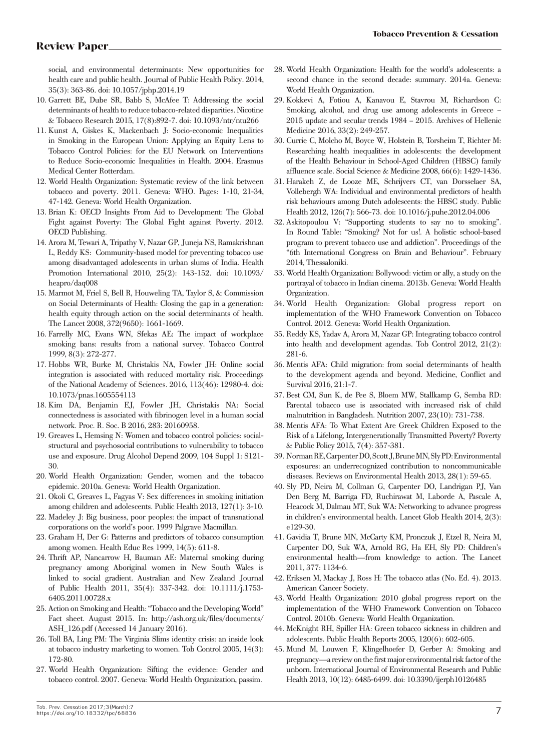social, and environmental determinants: New opportunities for health care and public health. Journal of Public Health Policy. 2014, 35(3): 363-86. doi: 10.1057/jphp.2014.19

- 10. Garrett BE, Dube SR, Babb S, McAfee T: Addressing the social determinants of health to reduce tobacco-related disparities. Nicotine & Tobacco Research 2015, 17(8):892-7. doi: 10.1093/ntr/ntu266
- 11. Kunst A, Giskes K, Mackenbach J: Socio-economic Inequalities in Smoking in the European Union: Applying an Equity Lens to Tobacco Control Policies: for the EU Network on Interventions to Reduce Socio-economic Inequalities in Health. 2004. Erasmus Medical Center Rotterdam.
- 12. World Health Organization: Systematic review of the link between tobacco and poverty. 2011. Geneva: WHO. Pages: 1-10, 21-34, 47-142. Geneva: World Health Organization.
- 13. Brian K: OECD Insights From Aid to Development: The Global Fight against Poverty: The Global Fight against Poverty. 2012. OECD Publishing.
- 14. Arora M, Tewari A, Tripathy V, Nazar GP, Juneja NS, Ramakrishnan L, Reddy KS: Community-based model for preventing tobacco use among disadvantaged adolescents in urban slums of India. Health Promotion International 2010, 25(2): 143-152. doi: 10.1093/ heapro/daq008
- 15. Marmot M, Friel S, Bell R, Houweling TA, Taylor S, & Commission on Social Determinants of Health: Closing the gap in a generation: health equity through action on the social determinants of health. The Lancet 2008, 372(9650): 1661-1669.
- 16. Farrelly MC, Evans WN, Sfekas AE: The impact of workplace smoking bans: results from a national survey. Tobacco Control 1999, 8(3): 272-277.
- 17. Hobbs WR, Burke M, Christakis NA, Fowler JH: Online social integration is associated with reduced mortality risk. Proceedings of the National Academy of Sciences. 2016, 113(46): 12980-4. doi: 10.1073/pnas.1605554113
- 18. Kim DA, Benjamin EJ, Fowler JH, Christakis NA: Social connectedness is associated with fibrinogen level in a human social network. Proc. R. Soc. B 2016, 283: 20160958.
- 19. Greaves L, Hemsing N: Women and tobacco control policies: socialstructural and psychosocial contributions to vulnerability to tobacco use and exposure. Drug Alcohol Depend 2009, 104 Suppl 1: S121- 30.
- 20. World Health Organization: Gender, women and the tobacco epidemic. 2010a. Geneva: World Health Organization.
- 21. Okoli C, Greaves L, Fagyas V: Sex differences in smoking initiation among children and adolescents. Public Health 2013, 127(1): 3-10.
- 22. Madeley J: Big business, poor peoples: the impact of transnational corporations on the world's poor. 1999 Palgrave Macmillan.
- 23. Graham H, Der G: Patterns and predictors of tobacco consumption among women. Health Educ Res 1999, 14(5): 611-8.
- 24. Thrift AP, Nancarrow H, Bauman AE: Maternal smoking during pregnancy among Aboriginal women in New South Wales is linked to social gradient. Australian and New Zealand Journal of Public Health 2011, 35(4): 337-342. doi: 10.1111/j.1753- 6405.2011.00728.x
- 25. Action on Smoking and Health: "Tobacco and the Developing World" Fact sheet. August 2015. In: http://ash.org.uk/files/documents/ ASH\_126.pdf (Accessed 14 January 2016).
- 26. Toll BA, Ling PM: The Virginia Slims identity crisis: an inside look at tobacco industry marketing to women. Tob Control 2005, 14(3): 172-80.
- 27. World Health Organization: Sifting the evidence: Gender and tobacco control. 2007. Geneva: World Health Organization, passim.
- 28. World Health Organization: Health for the world's adolescents: a second chance in the second decade: summary. 2014a. Geneva: World Health Organization.
- 29. Kokkevi A, Fotiou A, Kanavou E, Stavrou M, Richardson C: Smoking, alcohol, and drug use among adolescents in Greece – 2015 update and secular trends 1984 – 2015. Archives of Hellenic Medicine 2016, 33(2): 249-257.
- 30. Currie C, Molcho M, Boyce W, Holstein B, Torsheim T, Richter M: Researching health inequalities in adolescents: the development of the Health Behaviour in School-Aged Children (HBSC) family affluence scale. Social Science & Medicine 2008, 66(6): 1429-1436.
- 31. Harakeh Z, de Looze ME, Schrijvers CT, van Dorsselaer SA, Vollebergh WA: Individual and environmental predictors of health risk behaviours among Dutch adolescents: the HBSC study. Public Health 2012, 126(7): 566-73. doi: 10.1016/j.puhe.2012.04.006
- 32. Askitopoulou V: "Supporting students to say no to smoking". In Round Table: "Smoking? Not for us!. A holistic school-based program to prevent tobacco use and addiction". Proceedings of the "6th International Congress on Brain and Behaviour". February 2014, Thessaloniki.
- 33. World Health Organization: Bollywood: victim or ally, a study on the portrayal of tobacco in Indian cinema. 2013b. Geneva: World Health Organization.
- 34. World Health Organization: Global progress report on implementation of the WHO Framework Convention on Tobacco Control. 2012. Geneva: World Health Organization.
- 35. Reddy KS, Yadav A, Arora M, Nazar GP: Integrating tobacco control into health and development agendas. Tob Control 2012, 21(2): 281-6.
- 36. Mentis AFA: Child migration: from social determinants of health to the development agenda and beyond. Medicine, Conflict and Survival 2016, 21:1-7.
- 37. Best CM, Sun K, de Pee S, Bloem MW, Stallkamp G, Semba RD: Parental tobacco use is associated with increased risk of child malnutrition in Bangladesh. Nutrition 2007, 23(10): 731-738.
- 38. Mentis AFA: To What Extent Are Greek Children Exposed to the Risk of a Lifelong, Intergenerationally Transmitted Poverty? Poverty & Public Policy 2015, 7(4): 357-381.
- 39. Norman RE, Carpenter DO, Scott J, Brune MN, Sly PD: Environmental exposures: an underrecognized contribution to noncommunicable diseases. Reviews on Environmental Health 2013, 28(1): 59-65.
- 40. Sly PD, Neira M, Collman G, Carpenter DO, Landrigan PJ, Van Den Berg M, Barriga FD, Ruchirawat M, Laborde A, Pascale A, Heacock M, Dalmau MT, Suk WA: Networking to advance progress in children's environmental health. Lancet Glob Health 2014, 2(3): e129-30.
- 41. Gavidia T, Brune MN, McCarty KM, Pronczuk J, Etzel R, Neira M, Carpenter DO, Suk WA, Arnold RG, Ha EH, Sly PD: Children's environmental health—from knowledge to action. The Lancet 2011, 377: 1134-6.
- 42. Eriksen M, Mackay J, Ross H: The tobacco atlas (No. Ed. 4). 2013. American Cancer Society.
- 43. World Health Organization: 2010 global progress report on the implementation of the WHO Framework Convention on Tobacco Control. 2010b. Geneva: World Health Organization.
- 44. McKnight RH, Spiller HA: Green tobacco sickness in children and adolescents. Public Health Reports 2005, 120(6): 602-605.
- 45. Mund M, Louwen F, Klingelhoefer D, Gerber A: Smoking and pregnancy—a review on the first major environmental risk factor of the unborn. International Journal of Environmental Research and Public Health 2013, 10(12): 6485-6499. doi: 10.3390/ijerph10126485